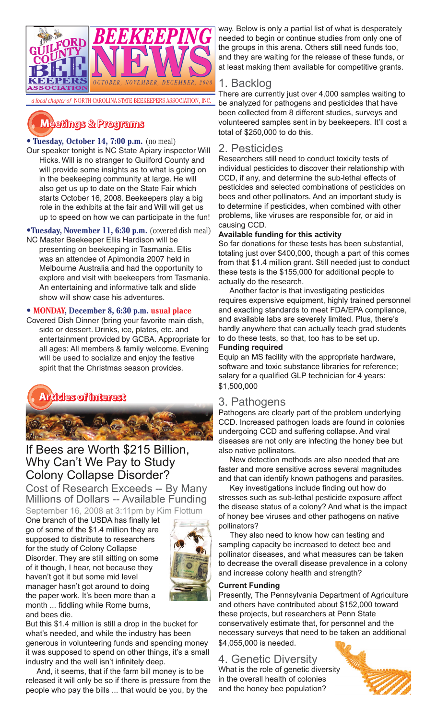

# $M$ eetings & Programs

# • **Tuesday, October 14, 7:00 p.m.** (no meal)

Our speaker tonight is NC State Apiary inspector Will Hicks. Will is no stranger to Guilford County and will provide some insights as to what is going on in the beekeeping community at large. He will also get us up to date on the State Fair which starts October 16, 2008. Beekeepers play a big role in the exhibits at the fair and Will will get us up to speed on how we can participate in the fun!

•**Tuesday, November 11, 6:30 p.m.** (covered dish meal) NC Master Beekeeper Ellis Hardison will be

presenting on beekeeping in Tasmania. Ellis was an attendee of Apimondia 2007 held in Melbourne Australia and had the opportunity to explore and visit with beekeepers from Tasmania. An entertaining and informative talk and slide show will show case his adventures.

### **• MONDAY, December 8, 6:30 p.m. usual place**

Covered Dish Dinner (bring your favorite main dish, side or dessert. Drinks, ice, plates, etc. and entertainment provided by GCBA. Appropriate for all ages: All members & family welcome. Evening will be used to socialize and enjoy the festive spirit that the Christmas season provides.



# If Bees are Worth \$215 Billion, Why Can't We Pay to Study Colony Collapse Disorder?

Cost of Research Exceeds -- By Many Millions of Dollars -- Available Funding September 16, 2008 at 3:11pm by Kim Flottum

One branch of the USDA has finally let go of some of the \$1.4 million they are supposed to distribute to researchers for the study of Colony Collapse Disorder. They are still sitting on some of it though, I hear, not because they haven't got it but some mid level manager hasn't got around to doing the paper work. It's been more than a month ... fiddling while Rome burns, and bees die.



But this \$1.4 million is still a drop in the bucket for what's needed, and while the industry has been generous in volunteering funds and spending money it was supposed to spend on other things, it's a small industry and the well isn't infinitely deep.

And, it seems, that if the farm bill money is to be released it will only be so if there is pressure from the people who pay the bills ... that would be you, by the

way. Below is only a partial list of what is desperately needed to begin or continue studies from only one of the groups in this arena. Others still need funds too, and they are waiting for the release of these funds, or at least making them available for competitive grants.

# 1. Backlog

There are currently just over 4,000 samples waiting to be analyzed for pathogens and pesticides that have been collected from 8 different studies, surveys and volunteered samples sent in by beekeepers. It'll cost a total of \$250,000 to do this.

### 2. Pesticides

Researchers still need to conduct toxicity tests of individual pesticides to discover their relationship with CCD, if any, and determine the sub-lethal effects of pesticides and selected combinations of pesticides on bees and other pollinators. And an important study is to determine if pesticides, when combined with other problems, like viruses are responsible for, or aid in causing CCD.

#### **Available funding for this activity**

So far donations for these tests has been substantial, totaling just over \$400,000, though a part of this comes from that \$1.4 million grant. Still needed just to conduct these tests is the \$155,000 for additional people to actually do the research.

Another factor is that investigating pesticides requires expensive equipment, highly trained personnel and exacting standards to meet FDA/EPA compliance, and available labs are severely limited. Plus, there's hardly anywhere that can actually teach grad students to do these tests, so that, too has to be set up.

### **Funding required**

Equip an MS facility with the appropriate hardware, software and toxic substance libraries for reference; salary for a qualified GLP technician for 4 years: \$1,500,000

# 3. Pathogens

Pathogens are clearly part of the problem underlying CCD. Increased pathogen loads are found in colonies undergoing CCD and suffering collapse. And viral diseases are not only are infecting the honey bee but also native pollinators.

New detection methods are also needed that are faster and more sensitive across several magnitudes and that can identify known pathogens and parasites.

Key investigations include finding out how do stresses such as sub-lethal pesticide exposure affect the disease status of a colony? And what is the impact of honey bee viruses and other pathogens on native pollinators?

They also need to know how can testing and sampling capacity be increased to detect bee and pollinator diseases, and what measures can be taken to decrease the overall disease prevalence in a colony and increase colony health and strength?

#### **Current Funding**

Presently, The Pennsylvania Department of Agriculture and others have contributed about \$152,000 toward these projects, but researchers at Penn State conservatively estimate that, for personnel and the necessary surveys that need to be taken an additional \$4,055,000 is needed.

# 4. Genetic Diversity

What is the role of genetic diversity in the overall health of colonies and the honey bee population?